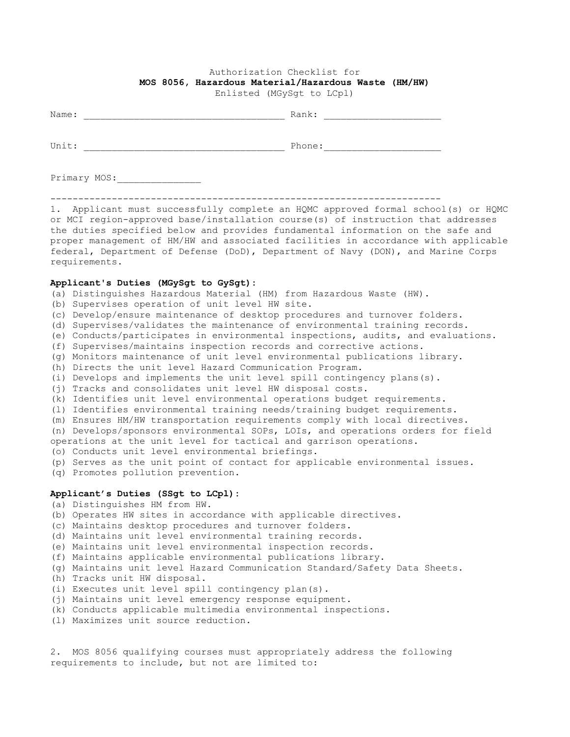## Authorization Checklist for **MOS 8056, Hazardous Material/Hazardous Waste (HM/HW)**

Enlisted (MGySgt to LCpl)

| Name: | Rank:  |
|-------|--------|
|       |        |
| Unit: | Phone: |
|       |        |

Primary MOS:\_\_\_\_\_\_\_\_\_\_\_\_\_\_\_

----------------------------------------------------------------------

1. Applicant must successfully complete an HQMC approved formal school(s) or HQMC or MCI region-approved base/installation course(s) of instruction that addresses the duties specified below and provides fundamental information on the safe and proper management of HM/HW and associated facilities in accordance with applicable federal, Department of Defense (DoD), Department of Navy (DON), and Marine Corps requirements.

## **Applicant's Duties (MGySgt to GySgt):**

- (a) Distinguishes Hazardous Material (HM) from Hazardous Waste (HW).
- (b) Supervises operation of unit level HW site.
- (c) Develop/ensure maintenance of desktop procedures and turnover folders.
- (d) Supervises/validates the maintenance of environmental training records.
- (e) Conducts/participates in environmental inspections, audits, and evaluations.
- (f) Supervises/maintains inspection records and corrective actions.
- (g) Monitors maintenance of unit level environmental publications library.
- (h) Directs the unit level Hazard Communication Program.
- (i) Develops and implements the unit level spill contingency plans(s).
- (j) Tracks and consolidates unit level HW disposal costs.
- (k) Identifies unit level environmental operations budget requirements.
- (l) Identifies environmental training needs/training budget requirements.
- (m) Ensures HM/HW transportation requirements comply with local directives.
- (n) Develops/sponsors environmental SOPs, LOIs, and operations orders for field operations at the unit level for tactical and garrison operations.
- (o) Conducts unit level environmental briefings.
- (p) Serves as the unit point of contact for applicable environmental issues.

(q) Promotes pollution prevention.

## **Applicant's Duties (SSgt to LCpl):**

- (a) Distinguishes HM from HW.
- (b) Operates HW sites in accordance with applicable directives.
- (c) Maintains desktop procedures and turnover folders.
- (d) Maintains unit level environmental training records.
- (e) Maintains unit level environmental inspection records.
- (f) Maintains applicable environmental publications library.
- (g) Maintains unit level Hazard Communication Standard/Safety Data Sheets.
- (h) Tracks unit HW disposal.
- (i) Executes unit level spill contingency plan(s).
- (j) Maintains unit level emergency response equipment.
- (k) Conducts applicable multimedia environmental inspections.
- (l) Maximizes unit source reduction.

2. MOS 8056 qualifying courses must appropriately address the following requirements to include, but not are limited to: